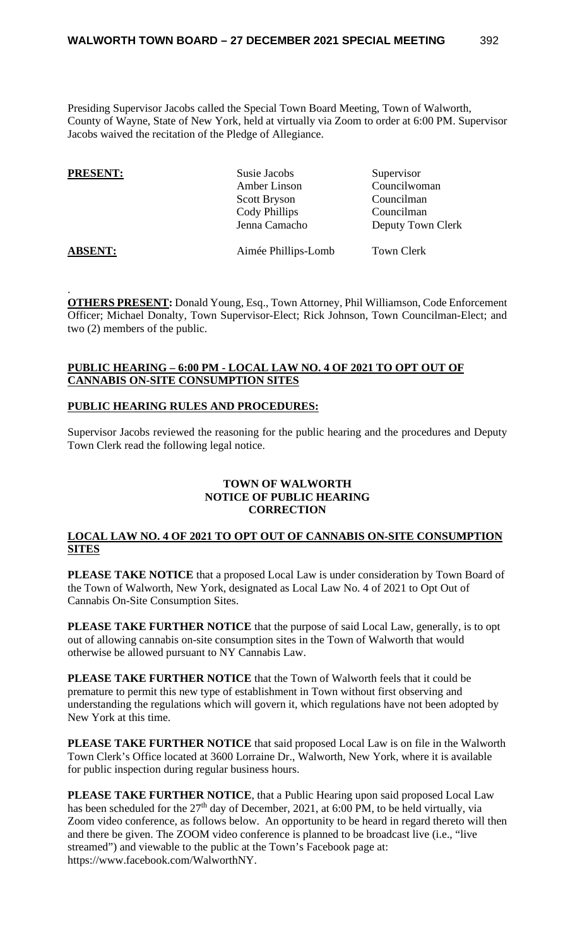Presiding Supervisor Jacobs called the Special Town Board Meeting, Town of Walworth, County of Wayne, State of New York, held at virtually via Zoom to order at 6:00 PM. Supervisor Jacobs waived the recitation of the Pledge of Allegiance.

| <b>PRESENT:</b> | Susie Jacobs        | Supervisor        |
|-----------------|---------------------|-------------------|
|                 | Amber Linson        | Councilwoman      |
|                 | <b>Scott Bryson</b> | Councilman        |
|                 | Cody Phillips       | Councilman        |
|                 | Jenna Camacho       | Deputy Town Clerk |
| <b>ABSENT:</b>  | Aimée Phillips-Lomb | Town Clerk        |

. **OTHERS PRESENT:** Donald Young, Esq., Town Attorney, Phil Williamson, Code Enforcement Officer; Michael Donalty, Town Supervisor-Elect; Rick Johnson, Town Councilman-Elect; and two (2) members of the public.

# **PUBLIC HEARING – 6:00 PM - LOCAL LAW NO. 4 OF 2021 TO OPT OUT OF CANNABIS ON-SITE CONSUMPTION SITES**

#### **PUBLIC HEARING RULES AND PROCEDURES:**

Supervisor Jacobs reviewed the reasoning for the public hearing and the procedures and Deputy Town Clerk read the following legal notice.

#### **TOWN OF WALWORTH NOTICE OF PUBLIC HEARING CORRECTION**

# **LOCAL LAW NO. 4 OF 2021 TO OPT OUT OF CANNABIS ON-SITE CONSUMPTION SITES**

**PLEASE TAKE NOTICE** that a proposed Local Law is under consideration by Town Board of the Town of Walworth, New York, designated as Local Law No. 4 of 2021 to Opt Out of Cannabis On-Site Consumption Sites.

**PLEASE TAKE FURTHER NOTICE** that the purpose of said Local Law, generally, is to opt out of allowing cannabis on-site consumption sites in the Town of Walworth that would otherwise be allowed pursuant to NY Cannabis Law.

**PLEASE TAKE FURTHER NOTICE** that the Town of Walworth feels that it could be premature to permit this new type of establishment in Town without first observing and understanding the regulations which will govern it, which regulations have not been adopted by New York at this time.

**PLEASE TAKE FURTHER NOTICE** that said proposed Local Law is on file in the Walworth Town Clerk's Office located at 3600 Lorraine Dr., Walworth, New York, where it is available for public inspection during regular business hours.

**PLEASE TAKE FURTHER NOTICE**, that a Public Hearing upon said proposed Local Law has been scheduled for the  $27<sup>th</sup>$  day of December, 2021, at 6:00 PM, to be held virtually, via Zoom video conference, as follows below. An opportunity to be heard in regard thereto will then and there be given. The ZOOM video conference is planned to be broadcast live (i.e., "live streamed") and viewable to the public at the Town's Facebook page at: https://www.facebook.com/WalworthNY.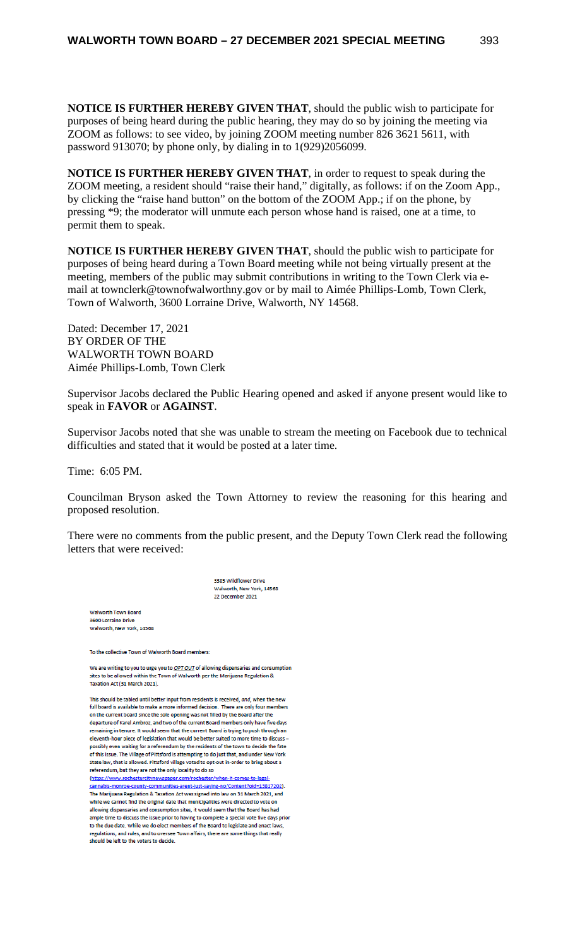**NOTICE IS FURTHER HEREBY GIVEN THAT**, should the public wish to participate for purposes of being heard during the public hearing, they may do so by joining the meeting via ZOOM as follows: to see video, by joining ZOOM meeting number 826 3621 5611, with password 913070; by phone only, by dialing in to 1(929)2056099.

**NOTICE IS FURTHER HEREBY GIVEN THAT**, in order to request to speak during the ZOOM meeting, a resident should "raise their hand," digitally, as follows: if on the Zoom App., by clicking the "raise hand button" on the bottom of the ZOOM App.; if on the phone, by pressing \*9; the moderator will unmute each person whose hand is raised, one at a time, to permit them to speak.

**NOTICE IS FURTHER HEREBY GIVEN THAT**, should the public wish to participate for purposes of being heard during a Town Board meeting while not being virtually present at the meeting, members of the public may submit contributions in writing to the Town Clerk via email at townclerk@townofwalworthny.gov or by mail to Aimée Phillips-Lomb, Town Clerk, Town of Walworth, 3600 Lorraine Drive, Walworth, NY 14568.

Dated: December 17, 2021 BY ORDER OF THE WALWORTH TOWN BOARD Aimée Phillips-Lomb, Town Clerk

Supervisor Jacobs declared the Public Hearing opened and asked if anyone present would like to speak in **FAVOR** or **AGAINST**.

Supervisor Jacobs noted that she was unable to stream the meeting on Facebook due to technical difficulties and stated that it would be posted at a later time.

Time: 6:05 PM.

Councilman Bryson asked the Town Attorney to review the reasoning for this hearing and proposed resolution.

There were no comments from the public present, and the Deputy Town Clerk read the following letters that were received:

> 385 Wildflow ver Drive Walworth, New York, 14568 22 December 2021

orth Town Bo 3600 Lorraine Drive Walworth, New York, 14568

To the collective Town of Walworth Board members:

We are writing to you to urge you to OPT OUT of allowing dispensaries and consumption wed within the Town of Walworth per the Marijuana Regulation & Taxation Act (31 March 2021).

This should be tabled until better input from residents is received, and, when the new full board is available to make a more informed decision. There are only four me. on the current board since the sole opening was not filled by the Board after the departure of Karel Ambroz, and two of the current Board members only have five days remaining in tenure. It would seem that the current Board is trying to push through an eleventh-hour piece of legislation that would be better suited to more time to discuss possibly even waiting for a referendum by the residents of the town to decide the fate of this issue. The Village of Pittsford is attempting to do just that, and under New York State law, that is allowed. Pittsford village voted to opt-out in-order to bring about a referendum, but they are not the only locality to do so

(https://www.rochestercitynewspaper.com/rochester/when-it-comes-to-le tent<sup>2</sup>nid=13817202) The Marijuana Regulation & Taxation Act was signed into law on 31 March 2021, and cannot find the original date that municipalities were directed to vote on allowing dispensaries and consumption sites, it would seem that the Board has had ne to discuss the issue prior to having to complete a special vote five days prior to the due date. While we do elect members of the Board to legislate and enact laws, regulations, and rules, and to oversee Town affairs, there are some things that really should be left to the voters to decide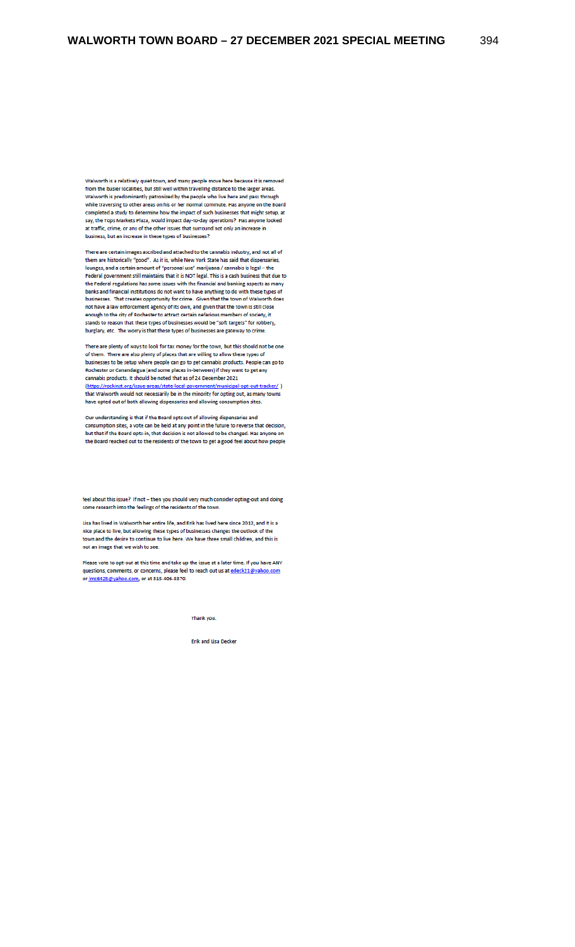Walworth is a relatively quiet town, and many people move here because it is removed from the busier localities, but still well within travelling distance to the larger areas. Walworth is predominantly patronized by the people who live here and pass through while traversing to other areas on his or her normal commute. Has anyone on the Board completed a study to determine how the impact of such businesses that might setup, at Example Tops Markets Plaza, would impact day-to-day operations? Has anyone looked<br>at traffic, crime, or any of the other issues that surround not only an increase in business, but an increase in these types of businesses?

There are certain images ascribed and attached to the cannabis industry, and not all of them are historically "good". As it is, while New York State has said that dispensaries, Noting the above that the contract of "personal use" marijuana / cannabis is legal – the<br>Federal government still maintains that it is NOT legal. This is a cash business that due to<br>Federal government still maintains that the Federal regulations has some issues with the financial and banking aspects as many banks and financial institutions do not want to have anything to do with these types of businesses. That creates opportunity for crime. Given that the town of Walworth does not have a law enforcement agency of its own, and given that the town is still close enough to the city of Rochester to attract certain nefarious members of society, it stands to reason that these types of businesses would be "soft targets" for robbery, burglary, etc. The worry is that these types of businesses are gateway to crime.

There are plenty of ways to look for tax money for the town, but this should not be one of them. There are also plenty of places that are willing to allow these types of businesses to be setup where people can go to get cannabis products. People can go to<br>Rochester or Canandaigua (and some places in-between) if they want to get any cannabis products. It should be noted that as of 24 December 2021 (https://rockinst.org/issue-areas/state-local-government ht/municipal-opt-out-tracker/) that Walworth would not necessarily be in the minority for opting out, as many towns have opted out of both allowing dispensaries and allowing consumption sites.

Our understanding is that if the Board opts out of allowing dispensaries and consumption sites, a vote can be held at any point in the future to reverse that decision, but that if the Board opts-in, that decision is not allowed to be changed. Has anyone on the Board reached out to the residents of the town to get a good feel about how people

feel about this issue? If not - then you should very much consider opting-out and doing some research into the feelings of the residents of the town.

Lisa has lived in Walworth her entire life, and Erik has lived here since 2012, and it is a nice place to live, but allowing these types of businesses changes the outlook of the town and the desire to continue to live here. We have three small children, and this is not an image that we wish to see.

Please vote to opt-out at this time and take up the issue at a later time. If you have ANY questions, comments, or concerns, please feel to reach out us at <u>edeck21@yahoo.com</u><br>or <u>Imc6425@yahoo.com</u>, or at 315-406-8370.

Thank you.

Erik and Lisa Decker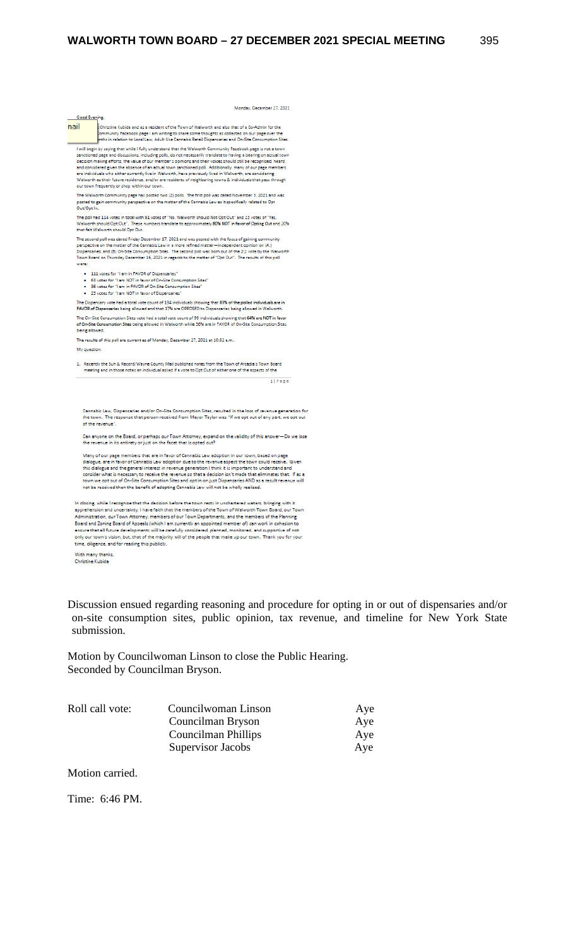Monday, December 27, 2021

| Good Evening                                                                                                                                                                                                                                  |  |
|-----------------------------------------------------------------------------------------------------------------------------------------------------------------------------------------------------------------------------------------------|--|
| nail<br>Christine Kubida and as a resident of the Town of Walworth and also that of a Co-Admin for the<br>community Facebook page I am writing to share some thoughts as collected on our page over the                                       |  |
| onths in relation to Local Law, Adult Use Cannabis Retail Dispensaries and On-Site Consumption Sites.                                                                                                                                         |  |
| I will begin by saying that while I fully understand that the Walworth Community Facebook page is not a town                                                                                                                                  |  |
| sanctioned page and discussions, including polls, do not necessarily translate to having a bearing on actual town<br>decision making efforts, the value of our member's opinions and their voices should still be recognized, heard,          |  |
| and considered given the absence of an actual town sanctioned poll. Additionally, many of our page members                                                                                                                                    |  |
| are individuals who either currently live in Walworth, have previously lived in Walworth, are considering                                                                                                                                     |  |
| Walworth as their future residence, and/or are residents of neighboring towns & individuals that pass through                                                                                                                                 |  |
| our town frequently or shop within our town.                                                                                                                                                                                                  |  |
| The Walworth Community page has posted two (2) polls. The first poll was dated November 3, 2021 and was                                                                                                                                       |  |
| posted to gain community perspective on the matter of the Cannabis Law as it specifically related to Opt                                                                                                                                      |  |
| Out/Opt In.                                                                                                                                                                                                                                   |  |
| The poll had 114 votes in total with 91 votes of "No, Walworth should Not Opt Out" and 23 votes of "Yes,                                                                                                                                      |  |
| Walworth should Opt Out". These numbers translate to approximately 80% NOT in favor of Opting Out and 20%                                                                                                                                     |  |
| that felt Walworth should Opt Out.                                                                                                                                                                                                            |  |
| The second poll was dated Friday December 17, 2021 and was posted with the focus of gaining community                                                                                                                                         |  |
| perspective on the matter of the Cannabis Law in a more refined matter-independent opinion on (A.)<br>Dispensaries, and (B) On-Site Consumption Sites. The second poll was born out of the 2:2 vote by the Walworth                           |  |
| Town Board on Thursday December 16, 2021 in regards to the matter of "Opt Out". The results of this poll                                                                                                                                      |  |
| were:                                                                                                                                                                                                                                         |  |
| . 111 votes for "I am in FAVOR of Dispensaries"                                                                                                                                                                                               |  |
| . 63 votes for "I am NOT in favor of On-Site Consumption Sites"                                                                                                                                                                               |  |
| . 36 votes for "I am in FAVOR of On-Site Consumption Sites"                                                                                                                                                                                   |  |
| . 23 votes for "I am NOT in favor of Dispensaries"                                                                                                                                                                                            |  |
| The Dispensary vote had a total vote count of 134 individuals showing that 83% of the polled individuals are in                                                                                                                               |  |
| FAVOR of Dispensaries being allowed and that 17% are OPPOSED to Dispensaries being allowed in Walworth.                                                                                                                                       |  |
| The On-Site Consumption Sites vote had a total vote count of 99 individuals showing that 64% are NOT in favor<br>of On-Site Consumption Sites being allowed in Walworth while 36% are in FAVOR of On-Site Consumption Sites<br>being allowed. |  |
|                                                                                                                                                                                                                                               |  |
| The results of this poll are current as of Monday, December 27, 2021 at 10:52 a.m                                                                                                                                                             |  |
| My question:                                                                                                                                                                                                                                  |  |
| 1. Recently the Sun & Record/Wayne County Mail published notes from the Town of Arcadia's Town Board                                                                                                                                          |  |
| meeting and in those notes an individual asked if a vote to Opt Out of either one of the aspects of the                                                                                                                                       |  |
|                                                                                                                                                                                                                                               |  |
| 1   Page                                                                                                                                                                                                                                      |  |
|                                                                                                                                                                                                                                               |  |
|                                                                                                                                                                                                                                               |  |
|                                                                                                                                                                                                                                               |  |
| Cannabis Law, Dispensaries and/or On-Site Consumption Sites, resulted in the loss of revenue generation for<br>the town. The response that person received from Mayor Taylor was "If we opt out of any part, we opt out                       |  |
| of the revenue".                                                                                                                                                                                                                              |  |
|                                                                                                                                                                                                                                               |  |
| Can anyone on the Board, or perhaps our Town Attorney, expand on the validity of this answer-Do we lose                                                                                                                                       |  |
| the revenue in its entirety or just on the facet that is opted out?                                                                                                                                                                           |  |
| Many of our page members that are in favor of Cannabis Law adoption in our town, based on page                                                                                                                                                |  |
| dialogue, are in favor of Cannabis Law adoption due to the revenue aspect the town could receive. Given                                                                                                                                       |  |
| this dialogue and the general interest in revenue generation I think it is important to understand and                                                                                                                                        |  |
| consider what is necessary to receive the revenue so that a decision isn't made that eliminates that. If as a                                                                                                                                 |  |
| town we opt out of On-Site Consumption Sites and opt in on just Dispensaries AND as a result revenue will                                                                                                                                     |  |
| not be received then the benefit of adopting Cannabis Law will not be wholly realized.                                                                                                                                                        |  |
|                                                                                                                                                                                                                                               |  |
| In closing, while I recognize that the decision before the town rests in unchartered waters, bringing with it                                                                                                                                 |  |
| apprehension and uncertainty, I have faith that the members of the Town of Walworth Town Board, our Town                                                                                                                                      |  |
| Administration, our Town Attorney, members of our Town Departments, and the members of the Planning                                                                                                                                           |  |
| Board and Zoning Board of Appeals (which I am currently an appointed member of) can work in cohesion to<br>ensure that all future developments will be carefully considered, planned, monitored, and supportive of not                        |  |
|                                                                                                                                                                                                                                               |  |
|                                                                                                                                                                                                                                               |  |
| only our town's vision, but, that of the majority will of the people that make up our town. Thank you for your<br>time, diligence, and for reading this publicly.                                                                             |  |

With many thanks,<br>Christine Kubida

Discussion ensued regarding reasoning and procedure for opting in or out of dispensaries and/or on-site consumption sites, public opinion, tax revenue, and timeline for New York State submission.

Motion by Councilwoman Linson to close the Public Hearing. Seconded by Councilman Bryson.

| Roll call vote: | Councilwoman Linson | Aye |
|-----------------|---------------------|-----|
|                 | Councilman Bryson   | Aye |
|                 | Councilman Phillips | Aye |
|                 | Supervisor Jacobs   | Aye |

Motion carried.

Time: 6:46 PM.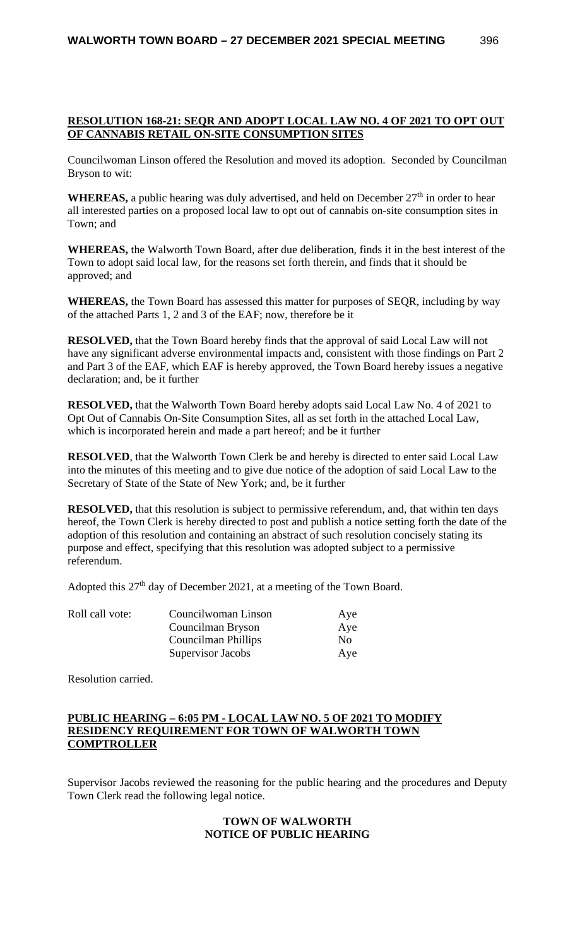#### **RESOLUTION 168-21: SEQR AND ADOPT LOCAL LAW NO. 4 OF 2021 TO OPT OUT OF CANNABIS RETAIL ON-SITE CONSUMPTION SITES**

Councilwoman Linson offered the Resolution and moved its adoption. Seconded by Councilman Bryson to wit:

**WHEREAS,** a public hearing was duly advertised, and held on December  $27<sup>th</sup>$  in order to hear all interested parties on a proposed local law to opt out of cannabis on-site consumption sites in Town; and

**WHEREAS,** the Walworth Town Board, after due deliberation, finds it in the best interest of the Town to adopt said local law, for the reasons set forth therein, and finds that it should be approved; and

**WHEREAS,** the Town Board has assessed this matter for purposes of SEQR, including by way of the attached Parts 1, 2 and 3 of the EAF; now, therefore be it

**RESOLVED,** that the Town Board hereby finds that the approval of said Local Law will not have any significant adverse environmental impacts and, consistent with those findings on Part 2 and Part 3 of the EAF, which EAF is hereby approved, the Town Board hereby issues a negative declaration; and, be it further

**RESOLVED,** that the Walworth Town Board hereby adopts said Local Law No. 4 of 2021 to Opt Out of Cannabis On-Site Consumption Sites, all as set forth in the attached Local Law, which is incorporated herein and made a part hereof; and be it further

**RESOLVED**, that the Walworth Town Clerk be and hereby is directed to enter said Local Law into the minutes of this meeting and to give due notice of the adoption of said Local Law to the Secretary of State of the State of New York; and, be it further

**RESOLVED,** that this resolution is subject to permissive referendum, and, that within ten days hereof, the Town Clerk is hereby directed to post and publish a notice setting forth the date of the adoption of this resolution and containing an abstract of such resolution concisely stating its purpose and effect, specifying that this resolution was adopted subject to a permissive referendum.

Adopted this 27<sup>th</sup> day of December 2021, at a meeting of the Town Board.

| Roll call vote: | Councilwoman Linson | Aye |
|-----------------|---------------------|-----|
|                 | Councilman Bryson   | Aye |
|                 | Councilman Phillips | No. |
|                 | Supervisor Jacobs   | Aye |

Resolution carried.

### **PUBLIC HEARING – 6:05 PM - LOCAL LAW NO. 5 OF 2021 TO MODIFY RESIDENCY REQUIREMENT FOR TOWN OF WALWORTH TOWN COMPTROLLER**

Supervisor Jacobs reviewed the reasoning for the public hearing and the procedures and Deputy Town Clerk read the following legal notice.

### **TOWN OF WALWORTH NOTICE OF PUBLIC HEARING**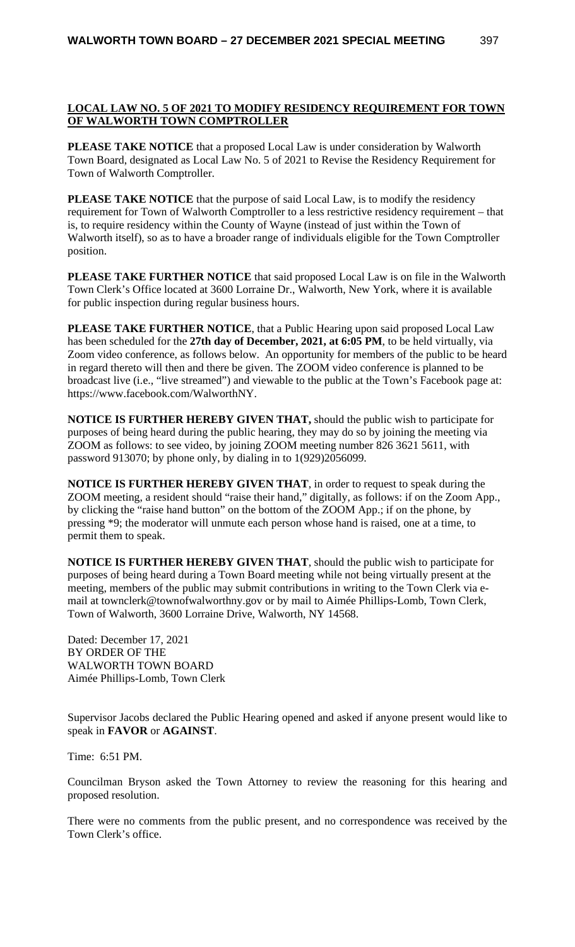# **LOCAL LAW NO. 5 OF 2021 TO MODIFY RESIDENCY REQUIREMENT FOR TOWN OF WALWORTH TOWN COMPTROLLER**

**PLEASE TAKE NOTICE** that a proposed Local Law is under consideration by Walworth Town Board, designated as Local Law No. 5 of 2021 to Revise the Residency Requirement for Town of Walworth Comptroller.

**PLEASE TAKE NOTICE** that the purpose of said Local Law, is to modify the residency requirement for Town of Walworth Comptroller to a less restrictive residency requirement – that is, to require residency within the County of Wayne (instead of just within the Town of Walworth itself), so as to have a broader range of individuals eligible for the Town Comptroller position.

**PLEASE TAKE FURTHER NOTICE** that said proposed Local Law is on file in the Walworth Town Clerk's Office located at 3600 Lorraine Dr., Walworth, New York, where it is available for public inspection during regular business hours.

**PLEASE TAKE FURTHER NOTICE**, that a Public Hearing upon said proposed Local Law has been scheduled for the **27th day of December, 2021, at 6:05 PM**, to be held virtually, via Zoom video conference, as follows below. An opportunity for members of the public to be heard in regard thereto will then and there be given. The ZOOM video conference is planned to be broadcast live (i.e., "live streamed") and viewable to the public at the Town's Facebook page at: https://www.facebook.com/WalworthNY.

**NOTICE IS FURTHER HEREBY GIVEN THAT,** should the public wish to participate for purposes of being heard during the public hearing, they may do so by joining the meeting via ZOOM as follows: to see video, by joining ZOOM meeting number 826 3621 5611, with password 913070; by phone only, by dialing in to 1(929)2056099.

**NOTICE IS FURTHER HEREBY GIVEN THAT**, in order to request to speak during the ZOOM meeting, a resident should "raise their hand," digitally, as follows: if on the Zoom App., by clicking the "raise hand button" on the bottom of the ZOOM App.; if on the phone, by pressing \*9; the moderator will unmute each person whose hand is raised, one at a time, to permit them to speak.

**NOTICE IS FURTHER HEREBY GIVEN THAT**, should the public wish to participate for purposes of being heard during a Town Board meeting while not being virtually present at the meeting, members of the public may submit contributions in writing to the Town Clerk via email at townclerk@townofwalworthny.gov or by mail to Aimée Phillips-Lomb, Town Clerk, Town of Walworth, 3600 Lorraine Drive, Walworth, NY 14568.

Dated: December 17, 2021 BY ORDER OF THE WALWORTH TOWN BOARD Aimée Phillips-Lomb, Town Clerk

Supervisor Jacobs declared the Public Hearing opened and asked if anyone present would like to speak in **FAVOR** or **AGAINST**.

Time: 6:51 PM.

Councilman Bryson asked the Town Attorney to review the reasoning for this hearing and proposed resolution.

There were no comments from the public present, and no correspondence was received by the Town Clerk's office.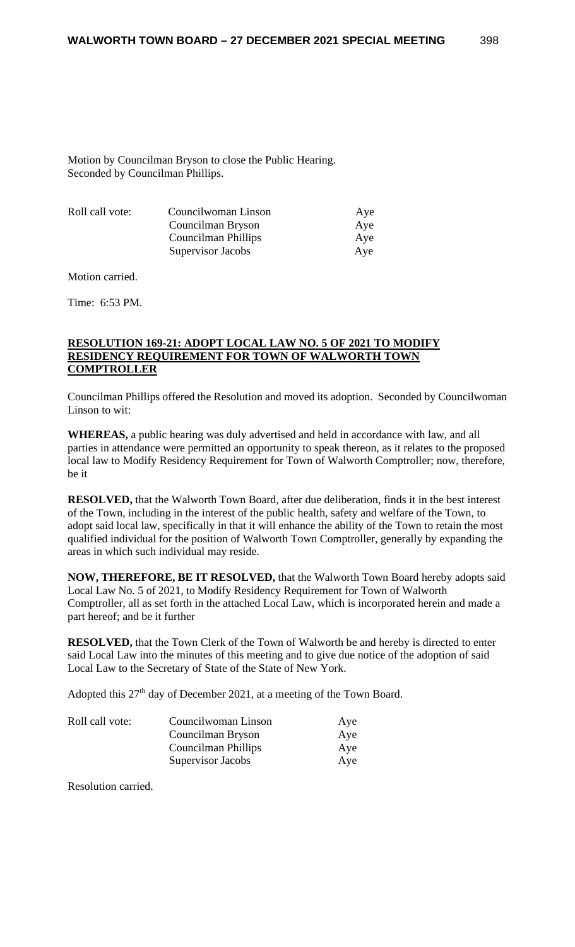Motion by Councilman Bryson to close the Public Hearing. Seconded by Councilman Phillips.

| Councilwoman Linson        | Aye |
|----------------------------|-----|
| Councilman Bryson          | Aye |
| <b>Councilman Phillips</b> | Aye |
| Supervisor Jacobs          | Ave |
|                            |     |

Motion carried.

Time: 6:53 PM.

#### **RESOLUTION 169-21: ADOPT LOCAL LAW NO. 5 OF 2021 TO MODIFY RESIDENCY REQUIREMENT FOR TOWN OF WALWORTH TOWN COMPTROLLER**

Councilman Phillips offered the Resolution and moved its adoption. Seconded by Councilwoman Linson to wit:

**WHEREAS,** a public hearing was duly advertised and held in accordance with law, and all parties in attendance were permitted an opportunity to speak thereon, as it relates to the proposed local law to Modify Residency Requirement for Town of Walworth Comptroller; now, therefore, be it

**RESOLVED,** that the Walworth Town Board, after due deliberation, finds it in the best interest of the Town, including in the interest of the public health, safety and welfare of the Town, to adopt said local law, specifically in that it will enhance the ability of the Town to retain the most qualified individual for the position of Walworth Town Comptroller, generally by expanding the areas in which such individual may reside.

**NOW, THEREFORE, BE IT RESOLVED,** that the Walworth Town Board hereby adopts said Local Law No. 5 of 2021, to Modify Residency Requirement for Town of Walworth Comptroller, all as set forth in the attached Local Law, which is incorporated herein and made a part hereof; and be it further

**RESOLVED,** that the Town Clerk of the Town of Walworth be and hereby is directed to enter said Local Law into the minutes of this meeting and to give due notice of the adoption of said Local Law to the Secretary of State of the State of New York.

Adopted this 27<sup>th</sup> day of December 2021, at a meeting of the Town Board.

| Roll call vote: | Councilwoman Linson | Aye |
|-----------------|---------------------|-----|
|                 | Councilman Bryson   | Aye |
|                 | Councilman Phillips | Aye |
|                 | Supervisor Jacobs   | Aye |

Resolution carried.